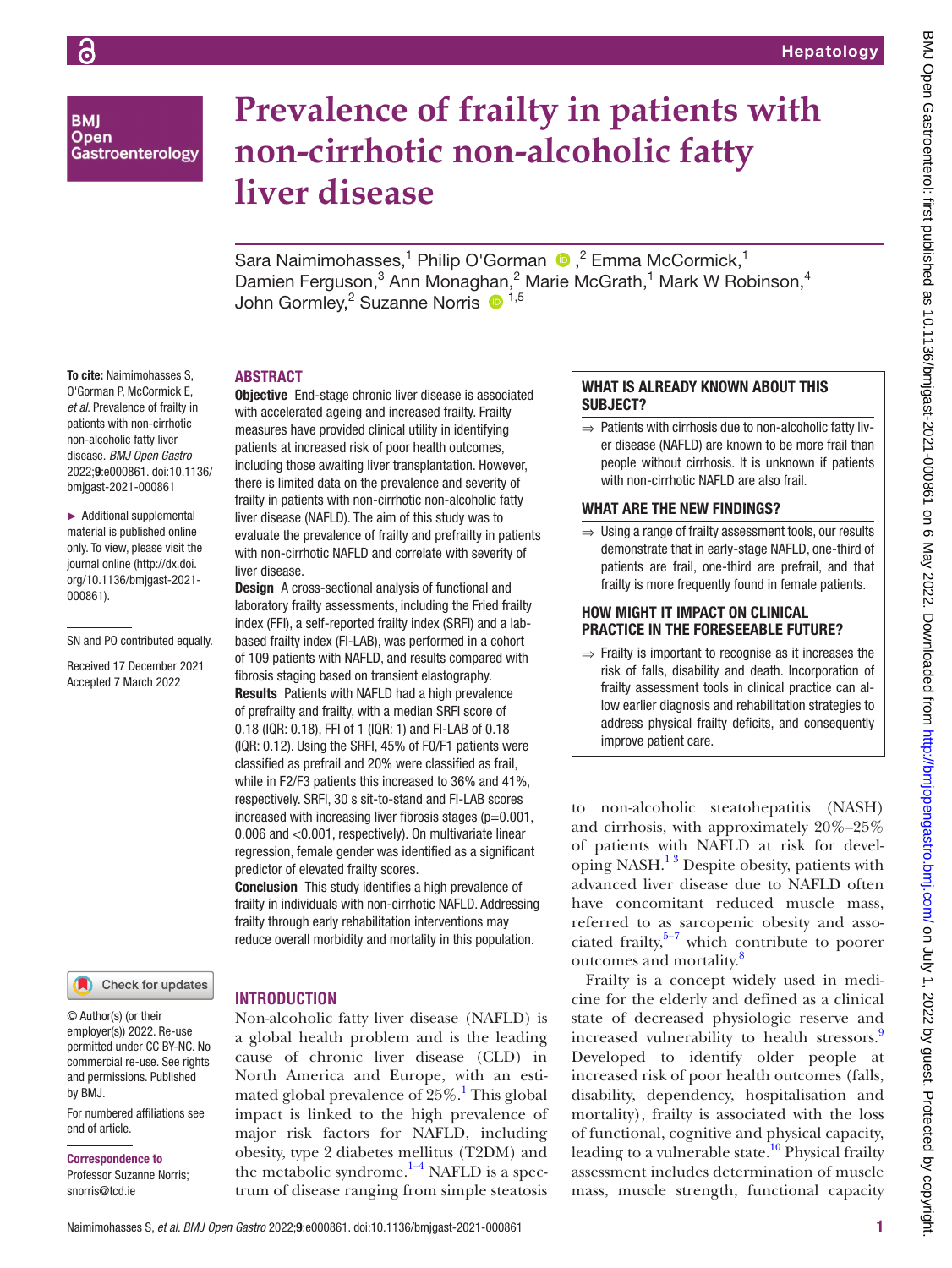**BMI Open** Gastroenterology

To cite: Naimimohasses S, O'Gorman P, McCormick E, *et al*. Prevalence of frailty in patients with non-cirrhotic non-alcoholic fatty liver disease. *BMJ Open Gastro* 2022;9:e000861. doi:10.1136/ bmjgast-2021-000861 ► Additional supplemental material is published online only. To view, please visit the journal online ([http://dx.doi.](http://dx.doi.org/10.1136/bmjgast-2021-000861) [org/10.1136/bmjgast-2021-](http://dx.doi.org/10.1136/bmjgast-2021-000861)

[000861](http://dx.doi.org/10.1136/bmjgast-2021-000861)).

SN and PO contributed equally. Received 17 December 2021 Accepted 7 March 2022

# **Prevalence of frailty in patients with non-cirrhotic non-alcoholic fatty liver disease**

SaraNaimimohasses,<sup>1</sup> Philip O'Gorman <sup>1</sup>,<sup>2</sup> Emma McCormick,<sup>1</sup> Damien Ferguson,<sup>3</sup> Ann Monaghan,<sup>2</sup> Marie McGrath,<sup>1</sup> Mark W Robinson,<sup>4</sup> John Gormley,<sup>2</sup> Suzanne Norris <sup>1,5</sup>

#### ABSTRACT

Objective End-stage chronic liver disease is associated with accelerated ageing and increased frailty. Frailty measures have provided clinical utility in identifying patients at increased risk of poor health outcomes, including those awaiting liver transplantation. However, there is limited data on the prevalence and severity of frailty in patients with non-cirrhotic non-alcoholic fatty liver disease (NAFLD). The aim of this study was to evaluate the prevalence of frailty and prefrailty in patients with non-cirrhotic NAFLD and correlate with severity of liver disease.

**Design** A cross-sectional analysis of functional and laboratory frailty assessments, including the Fried frailty index (FFI), a self-reported frailty index (SRFI) and a labbased frailty index (FI-LAB), was performed in a cohort of 109 patients with NAFLD, and results compared with fibrosis staging based on transient elastography. Results Patients with NAFLD had a high prevalence of prefrailty and frailty, with a median SRFI score of 0.18 (IQR: 0.18), FFI of 1 (IQR: 1) and FI-LAB of 0.18 (IQR: 0.12). Using the SRFI, 45% of F0/F1 patients were classified as prefrail and 20% were classified as frail, while in F2/F3 patients this increased to 36% and 41%, respectively. SRFI, 30 s sit-to-stand and FI-LAB scores increased with increasing liver fibrosis stages ( $p=0.001$ , 0.006 and <0.001, respectively). On multivariate linear regression, female gender was identified as a significant predictor of elevated frailty scores.

Conclusion This study identifies a high prevalence of frailty in individuals with non-cirrhotic NAFLD. Addressing frailty through early rehabilitation interventions may reduce overall morbidity and mortality in this population.

#### Check for updates

© Author(s) (or their employer(s)) 2022. Re-use permitted under CC BY-NC. No commercial re-use. See rights and permissions. Published by BMJ.

For numbered affiliations see end of article.

Correspondence to

Professor Suzanne Norris; snorris@tcd.ie

# **INTRODUCTION**

Non-alcoholic fatty liver disease (NAFLD) is a global health problem and is the leading cause of chronic liver disease (CLD) in North America and Europe, with an esti-mated global prevalence of 25%.<sup>[1](#page-6-0)</sup> This global impact is linked to the high prevalence of major risk factors for NAFLD, including obesity, type 2 diabetes mellitus (T2DM) and the metabolic syndrome. $1-4$  NAFLD is a spectrum of disease ranging from simple steatosis

## WHAT IS ALREADY KNOWN ABOUT THIS SUBJECT?

⇒ Patients with cirrhosis due to non-alcoholic fatty liver disease (NAFLD) are known to be more frail than people without cirrhosis. It is unknown if patients with non-cirrhotic NAFLD are also frail.

#### WHAT ARF THE NEW FINDINGS?

⇒ Using a range of frailty assessment tools, our results demonstrate that in early-stage NAFLD, one-third of patients are frail, one-third are prefrail, and that frailty is more frequently found in female patients.

#### HOW MIGHT IT IMPACT ON CLINICAL PRACTICE IN THE FORESEEABLE FUTURE?

 $\Rightarrow$  Frailty is important to recognise as it increases the risk of falls, disability and death. Incorporation of frailty assessment tools in clinical practice can allow earlier diagnosis and rehabilitation strategies to address physical frailty deficits, and consequently improve patient care.

to non-alcoholic steatohepatitis (NASH) and cirrhosis, with approximately 20%–25% of patients with NAFLD at risk for developing NASH. $<sup>13</sup>$  Despite obesity, patients with</sup> advanced liver disease due to NAFLD often have concomitant reduced muscle mass, referred to as sarcopenic obesity and associated frailty, $5\frac{5}{7}$  which contribute to poorer outcomes and mortality.<sup>[8](#page-7-1)</sup>

Frailty is a concept widely used in medicine for the elderly and defined as a clinical state of decreased physiologic reserve and increased vulnerability to health stressors.<sup>[9](#page-7-2)</sup> Developed to identify older people at increased risk of poor health outcomes (falls, disability, dependency, hospitalisation and mortality), frailty is associated with the loss of functional, cognitive and physical capacity, leading to a vulnerable state.<sup>10</sup> Physical frailty assessment includes determination of muscle mass, muscle strength, functional capacity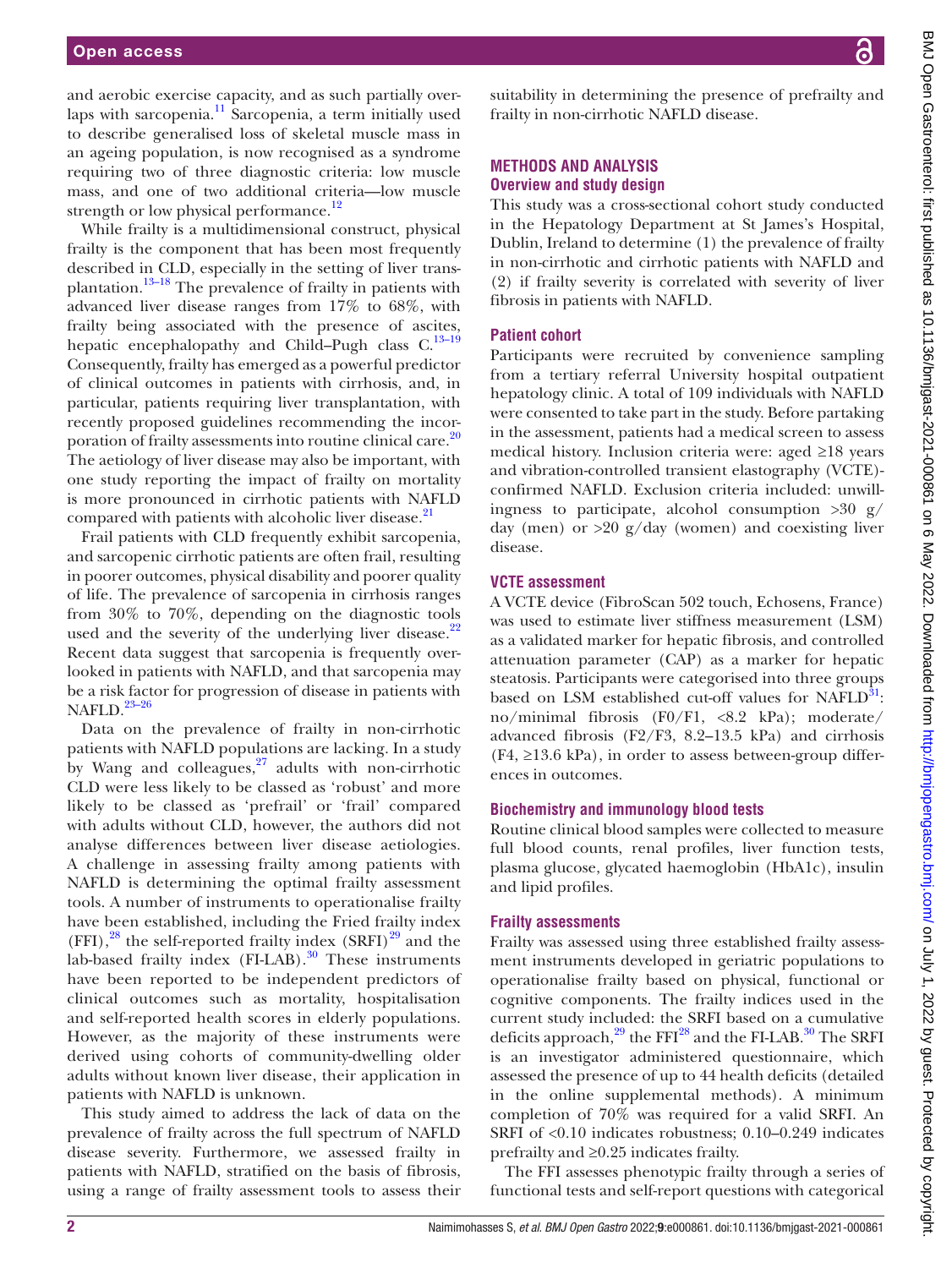and aerobic exercise capacity, and as such partially over-laps with sarcopenia.<sup>[11](#page-7-4)</sup> Sarcopenia, a term initially used to describe generalised loss of skeletal muscle mass in an ageing population, is now recognised as a syndrome requiring two of three diagnostic criteria: low muscle mass, and one of two additional criteria—low muscle strength or low physical performance. $^{12}$ 

While frailty is a multidimensional construct, physical frailty is the component that has been most frequently described in CLD, especially in the setting of liver transplantation.[13–18](#page-7-6) The prevalence of frailty in patients with advanced liver disease ranges from 17% to 68%, with frailty being associated with the presence of ascites, hepatic encephalopathy and Child-Pugh class C.<sup>13-19</sup> Consequently, frailty has emerged as a powerful predictor of clinical outcomes in patients with cirrhosis, and, in particular, patients requiring liver transplantation, with recently proposed guidelines recommending the incorporation of frailty assessments into routine clinical care.<sup>20</sup> The aetiology of liver disease may also be important, with one study reporting the impact of frailty on mortality is more pronounced in cirrhotic patients with NAFLD compared with patients with alcoholic liver disease.<sup>[21](#page-7-8)</sup>

Frail patients with CLD frequently exhibit sarcopenia, and sarcopenic cirrhotic patients are often frail, resulting in poorer outcomes, physical disability and poorer quality of life. The prevalence of sarcopenia in cirrhosis ranges from 30% to 70%, depending on the diagnostic tools used and the severity of the underlying liver disease. $2^2$ Recent data suggest that sarcopenia is frequently overlooked in patients with NAFLD, and that sarcopenia may be a risk factor for progression of disease in patients with NAFLD. $23-26$ 

Data on the prevalence of frailty in non-cirrhotic patients with NAFLD populations are lacking. In a study by Wang and colleagues, $27$  adults with non-cirrhotic CLD were less likely to be classed as 'robust' and more likely to be classed as 'prefrail' or 'frail' compared with adults without CLD, however, the authors did not analyse differences between liver disease aetiologies. A challenge in assessing frailty among patients with NAFLD is determining the optimal frailty assessment tools. A number of instruments to operationalise frailty have been established, including the Fried frailty index  $(FFI)$ ,<sup>[28](#page-7-12)</sup> the self-reported frailty index  $(SRFI)$ <sup>29</sup> and the lab-based frailty index  $(FI-LAB)$ .<sup>[30](#page-7-14)</sup> These instruments have been reported to be independent predictors of clinical outcomes such as mortality, hospitalisation and self-reported health scores in elderly populations. However, as the majority of these instruments were derived using cohorts of community-dwelling older adults without known liver disease, their application in patients with NAFLD is unknown.

This study aimed to address the lack of data on the prevalence of frailty across the full spectrum of NAFLD disease severity. Furthermore, we assessed frailty in patients with NAFLD, stratified on the basis of fibrosis, using a range of frailty assessment tools to assess their

suitability in determining the presence of prefrailty and frailty in non-cirrhotic NAFLD disease.

# **METHODS AND ANALYSIS Overview and study design**

This study was a cross-sectional cohort study conducted in the Hepatology Department at St James's Hospital, Dublin, Ireland to determine (1) the prevalence of frailty in non-cirrhotic and cirrhotic patients with NAFLD and (2) if frailty severity is correlated with severity of liver fibrosis in patients with NAFLD.

### **Patient cohort**

Participants were recruited by convenience sampling from a tertiary referral University hospital outpatient hepatology clinic. A total of 109 individuals with NAFLD were consented to take part in the study. Before partaking in the assessment, patients had a medical screen to assess medical history. Inclusion criteria were: aged ≥18 years and vibration-controlled transient elastography (VCTE) confirmed NAFLD. Exclusion criteria included: unwillingness to participate, alcohol consumption  $>30$  g/ day (men) or  $>20$  g/day (women) and coexisting liver disease.

#### **VCTE assessment**

A VCTE device (FibroScan 502 touch, Echosens, France) was used to estimate liver stiffness measurement (LSM) as a validated marker for hepatic fibrosis, and controlled attenuation parameter (CAP) as a marker for hepatic steatosis. Participants were categorised into three groups based on LSM established cut-off values for  $NAFLD<sup>31</sup>$ : no/minimal fibrosis (F0/F1, <8.2 kPa); moderate/ advanced fibrosis (F2/F3, 8.2–13.5 kPa) and cirrhosis  $(F4, \geq 13.6 \text{ kPa})$ , in order to assess between-group differences in outcomes.

#### **Biochemistry and immunology blood tests**

Routine clinical blood samples were collected to measure full blood counts, renal profiles, liver function tests, plasma glucose, glycated haemoglobin (HbA1c), insulin and lipid profiles.

# **Frailty assessments**

Frailty was assessed using three established frailty assessment instruments developed in geriatric populations to operationalise frailty based on physical, functional or cognitive components. The frailty indices used in the current study included: the SRFI based on a cumulative deficits approach, $^{29}$  $^{29}$  $^{29}$  the FFI $^{28}$  and the FI-LAB.<sup>30</sup> The SRFI is an investigator administered questionnaire, which assessed the presence of up to 44 health deficits (detailed in the [online supplemental methods\)](https://dx.doi.org/10.1136/bmjgast-2021-000861). A minimum completion of 70% was required for a valid SRFI. An SRFI of <0.10 indicates robustness; 0.10–0.249 indicates prefrailty and ≥0.25 indicates frailty.

The FFI assesses phenotypic frailty through a series of functional tests and self-report questions with categorical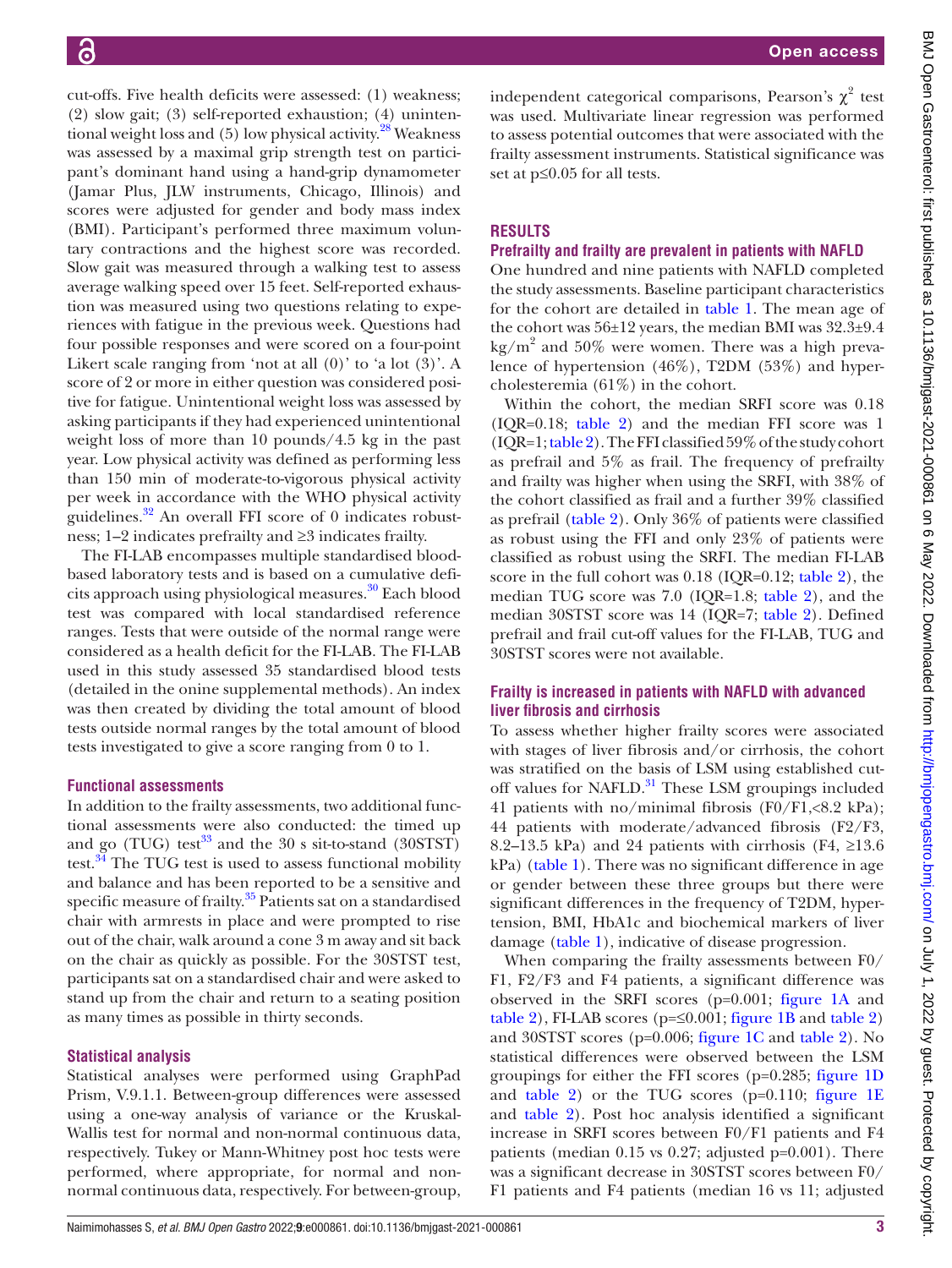cut-offs. Five health deficits were assessed: (1) weakness; (2) slow gait; (3) self-reported exhaustion; (4) unintentional weight loss and  $(5)$  low physical activity.<sup>28</sup> Weakness was assessed by a maximal grip strength test on participant's dominant hand using a hand-grip dynamometer (Jamar Plus, JLW instruments, Chicago, Illinois) and scores were adjusted for gender and body mass index (BMI). Participant's performed three maximum voluntary contractions and the highest score was recorded. Slow gait was measured through a walking test to assess average walking speed over 15 feet. Self-reported exhaustion was measured using two questions relating to experiences with fatigue in the previous week. Questions had four possible responses and were scored on a four-point Likert scale ranging from 'not at all (0)' to 'a lot (3)'. A score of 2 or more in either question was considered positive for fatigue. Unintentional weight loss was assessed by asking participants if they had experienced unintentional weight loss of more than 10 pounds/4.5 kg in the past year. Low physical activity was defined as performing less than 150 min of moderate-to-vigorous physical activity per week in accordance with the WHO physical activity guidelines. $32$  An overall FFI score of 0 indicates robustness; 1–2 indicates prefrailty and ≥3 indicates frailty.

The FI-LAB encompasses multiple standardised bloodbased laboratory tests and is based on a cumulative deficits approach using physiological measures.<sup>30</sup> Each blood test was compared with local standardised reference ranges. Tests that were outside of the normal range were considered as a health deficit for the FI-LAB. The FI-LAB used in this study assessed 35 standardised blood tests (detailed in the [onine supplemental methods](https://dx.doi.org/10.1136/bmjgast-2021-000861)). An index was then created by dividing the total amount of blood tests outside normal ranges by the total amount of blood tests investigated to give a score ranging from 0 to 1.

#### **Functional assessments**

In addition to the frailty assessments, two additional functional assessments were also conducted: the timed up and go (TUG) test $33$  and the 30 s sit-to-stand (30STST) test.<sup>[34](#page-7-18)</sup> The TUG test is used to assess functional mobility and balance and has been reported to be a sensitive and specific measure of frailty.<sup>[35](#page-7-19)</sup> Patients sat on a standardised chair with armrests in place and were prompted to rise out of the chair, walk around a cone 3 m away and sit back on the chair as quickly as possible. For the 30STST test, participants sat on a standardised chair and were asked to stand up from the chair and return to a seating position as many times as possible in thirty seconds.

#### **Statistical analysis**

Statistical analyses were performed using GraphPad Prism, V.9.1.1. Between-group differences were assessed using a one-way analysis of variance or the Kruskal-Wallis test for normal and non-normal continuous data, respectively. Tukey or Mann-Whitney post hoc tests were performed, where appropriate, for normal and nonnormal continuous data, respectively. For between-group,

independent categorical comparisons, Pearson's  $\chi^2$  test was used. Multivariate linear regression was performed to assess potential outcomes that were associated with the frailty assessment instruments. Statistical significance was set at p≤0.05 for all tests.

# **RESULTS**

# **Prefrailty and frailty are prevalent in patients with NAFLD**

One hundred and nine patients with NAFLD completed the study assessments. Baseline participant characteristics for the cohort are detailed in [table](#page-3-0) 1. The mean age of the cohort was 56±12 years, the median BMI was 32.3±9.4  $\text{kg/m}^2$  and 50% were women. There was a high prevalence of hypertension (46%), T2DM (53%) and hypercholesteremia (61%) in the cohort.

Within the cohort, the median SRFI score was 0.18 (IQR=0.18; [table](#page-4-0) 2) and the median FFI score was 1  $(IOR=1; table 2)$ . The FFI classified 59% of the study cohort as prefrail and 5% as frail. The frequency of prefrailty and frailty was higher when using the SRFI, with 38% of the cohort classified as frail and a further 39% classified as prefrail ([table](#page-4-0) 2). Only 36% of patients were classified as robust using the FFI and only 23% of patients were classified as robust using the SRFI. The median FI-LAB score in the full cohort was 0.18 (IQR=0.12; [table](#page-4-0) 2), the median TUG score was 7.0 (IQR=1.8; [table](#page-4-0) 2), and the median 30STST score was 14 (IQR=7; [table](#page-4-0) 2). Defined prefrail and frail cut-off values for the FI-LAB, TUG and 30STST scores were not available.

# **Frailty is increased in patients with NAFLD with advanced liver fibrosis and cirrhosis**

To assess whether higher frailty scores were associated with stages of liver fibrosis and/or cirrhosis, the cohort was stratified on the basis of LSM using established cutoff values for NAFLD.<sup>31</sup> These LSM groupings included 41 patients with no/minimal fibrosis (F0/F1,<8.2 kPa); 44 patients with moderate/advanced fibrosis (F2/F3, 8.2–13.5 kPa) and 24 patients with cirrhosis (F4,  $\geq$ 13.6 kPa) ([table](#page-3-0) 1). There was no significant difference in age or gender between these three groups but there were significant differences in the frequency of T2DM, hypertension, BMI, HbA1c and biochemical markers of liver damage [\(table](#page-3-0) 1), indicative of disease progression.

When comparing the frailty assessments between F0/ F1, F2/F3 and F4 patients, a significant difference was observed in the SRFI scores (p=0.001; [figure](#page-5-0) 1A and [table](#page-4-0) 2), FI-LAB scores ( $p = \le 0.001$ ; [figure](#page-5-0) 1B and table 2) and 30STST scores (p=0.006; [figure](#page-5-0) 1C and [table](#page-4-0) 2). No statistical differences were observed between the LSM groupings for either the FFI scores (p=0.285; [figure](#page-5-0) 1D and [table](#page-4-0) 2) or the TUG scores (p=0.110; [figure](#page-5-0) 1E and [table](#page-4-0) 2). Post hoc analysis identified a significant increase in SRFI scores between F0/F1 patients and F4 patients (median 0.15 vs 0.27; adjusted p=0.001). There was a significant decrease in 30STST scores between F0/ F1 patients and F4 patients (median 16 vs 11; adjusted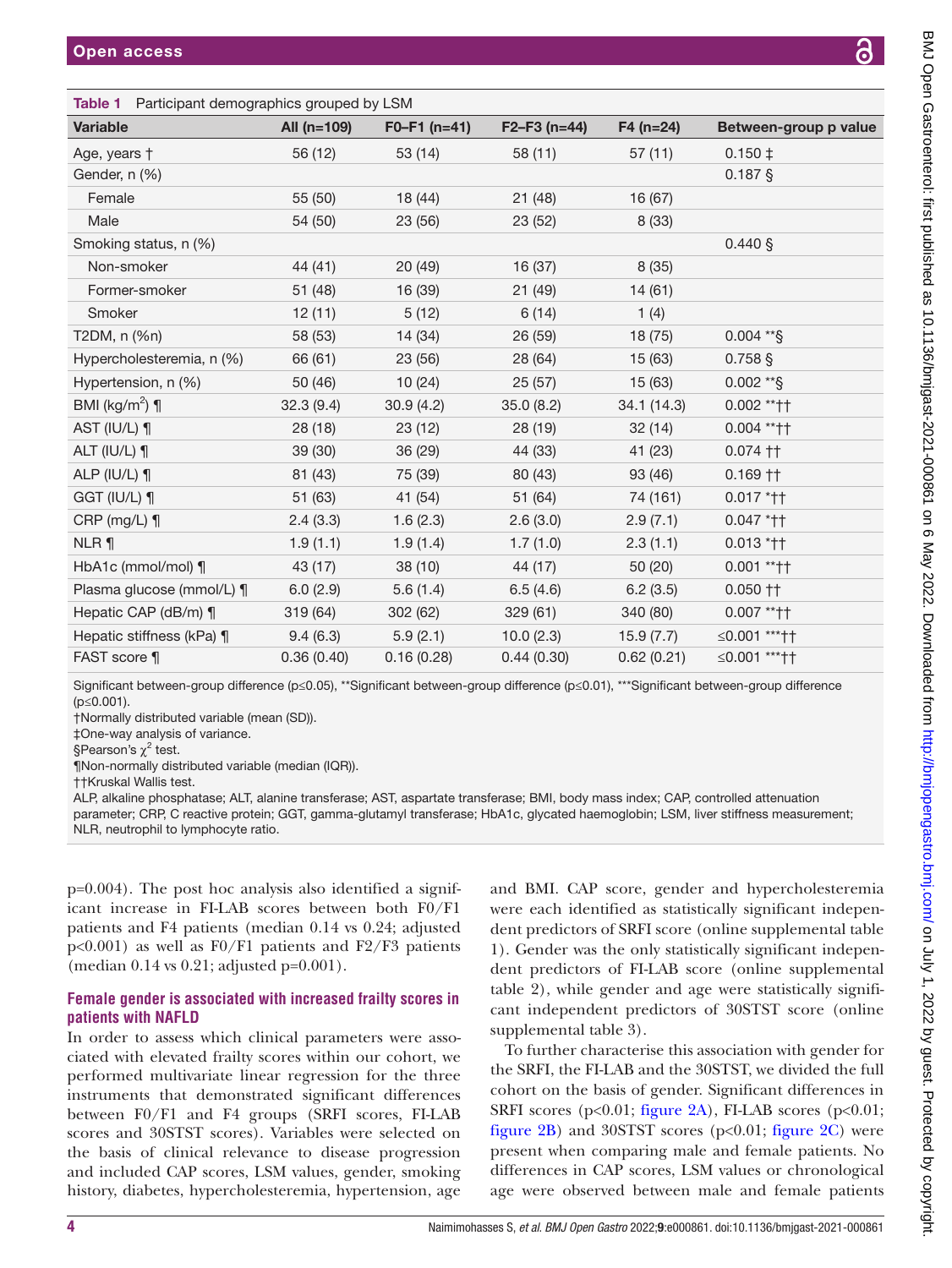<span id="page-3-0"></span>

| <b>Table 1</b> Participant demographics grouped by LSM |               |                |               |             |                       |  |  |  |
|--------------------------------------------------------|---------------|----------------|---------------|-------------|-----------------------|--|--|--|
| <b>Variable</b>                                        | All $(n=109)$ | $F0-F1$ (n=41) | $F2-F3(n=44)$ | $F4$ (n=24) | Between-group p value |  |  |  |
| Age, years †                                           | 56 (12)       | 53 (14)        | 58 (11)       | 57(11)      | $0.150 \downarrow$    |  |  |  |
| Gender, n (%)                                          |               |                |               |             | $0.187$ §             |  |  |  |
| Female                                                 | 55 (50)       | 18 (44)        | 21(48)        | 16 (67)     |                       |  |  |  |
| Male                                                   | 54 (50)       | 23 (56)        | 23(52)        | 8(33)       |                       |  |  |  |
| Smoking status, n (%)                                  |               |                |               |             | $0.440 \$             |  |  |  |
| Non-smoker                                             | 44 (41)       | 20(49)         | 16(37)        | 8(35)       |                       |  |  |  |
| Former-smoker                                          | 51 (48)       | 16 (39)        | 21(49)        | 14 (61)     |                       |  |  |  |
| Smoker                                                 | 12(11)        | 5(12)          | 6(14)         | 1(4)        |                       |  |  |  |
| T2DM, n (%n)                                           | 58 (53)       | 14 (34)        | 26 (59)       | 18(75)      | $0.004$ ** §          |  |  |  |
| Hypercholesteremia, n (%)                              | 66 (61)       | 23 (56)        | 28 (64)       | 15 (63)     | $0.758$ §             |  |  |  |
| Hypertension, n (%)                                    | 50 (46)       | 10(24)         | 25(57)        | 15 (63)     | $0.002$ ** §          |  |  |  |
| BMI (kg/m <sup>2</sup> ) $\P$                          | 32.3(9.4)     | 30.9(4.2)      | 35.0(8.2)     | 34.1 (14.3) | 0.002 ** † †          |  |  |  |
| AST (IU/L) ¶                                           | 28(18)        | 23(12)         | 28 (19)       | 32(14)      | $0.004$ ** † †        |  |  |  |
| ALT (IU/L) ¶                                           | 39 (30)       | 36 (29)        | 44 (33)       | 41 (23)     | $0.074$ ††            |  |  |  |
| ALP (IU/L) $\P$                                        | 81 (43)       | 75 (39)        | 80 (43)       | 93 (46)     | $0.169$ ††            |  |  |  |
| GGT (IU/L) ¶                                           | 51 (63)       | 41 (54)        | 51 (64)       | 74 (161)    | $0.017$ * † †         |  |  |  |
| CRP ( $mg/L$ ) ¶                                       | 2.4(3.3)      | 1.6(2.3)       | 2.6(3.0)      | 2.9(7.1)    | $0.047$ * † †         |  |  |  |
| NLR ¶                                                  | 1.9(1.1)      | 1.9(1.4)       | 1.7(1.0)      | 2.3(1.1)    | $0.013$ *††           |  |  |  |
| HbA1c (mmol/mol) $\P$                                  | 43 (17)       | 38 (10)        | 44 (17)       | 50 (20)     | $0.001$ ** † †        |  |  |  |
| Plasma glucose (mmol/L) ¶                              | 6.0(2.9)      | 5.6(1.4)       | 6.5(4.6)      | 6.2(3.5)    | $0.050$ ††            |  |  |  |
| Hepatic CAP (dB/m) ¶                                   | 319 (64)      | 302 (62)       | 329 (61)      | 340 (80)    | $0.007$ ** † †        |  |  |  |
| Hepatic stiffness (kPa) ¶                              | 9.4(6.3)      | 5.9(2.1)       | 10.0(2.3)     | 15.9(7.7)   | ≤0.001 *** ††         |  |  |  |
| FAST score ¶                                           | 0.36(0.40)    | 0.16(0.28)     | 0.44(0.30)    | 0.62(0.21)  | ≤0.001 ****††         |  |  |  |

Significant between-group difference (p≤0.05), \*\*Significant between-group difference (p≤0.01), \*\*\*Significant between-group difference (p≤0.001).

†Normally distributed variable (mean (SD)).

‡One-way analysis of variance.

§Pearson's  $\chi^2$  test.

¶Non-normally distributed variable (median (IQR)).

††Kruskal Wallis test.

ALP, alkaline phosphatase; ALT, alanine transferase; AST, aspartate transferase; BMI, body mass index; CAP, controlled attenuation parameter; CRP, C reactive protein; GGT, gamma-glutamyl transferase; HbA1c, glycated haemoglobin; LSM, liver stiffness measurement; NLR, neutrophil to lymphocyte ratio.

p=0.004). The post hoc analysis also identified a significant increase in FI-LAB scores between both F0/F1 patients and F4 patients (median 0.14 vs 0.24; adjusted p<0.001) as well as F0/F1 patients and F2/F3 patients (median 0.14 vs 0.21; adjusted p=0.001).

# **Female gender is associated with increased frailty scores in patients with NAFLD**

In order to assess which clinical parameters were associated with elevated frailty scores within our cohort, we performed multivariate linear regression for the three instruments that demonstrated significant differences between F0/F1 and F4 groups (SRFI scores, FI-LAB scores and 30STST scores). Variables were selected on the basis of clinical relevance to disease progression and included CAP scores, LSM values, gender, smoking history, diabetes, hypercholesteremia, hypertension, age

and BMI. CAP score, gender and hypercholesteremia were each identified as statistically significant independent predictors of SRFI score ([online supplemental table](https://dx.doi.org/10.1136/bmjgast-2021-000861) [1](https://dx.doi.org/10.1136/bmjgast-2021-000861)). Gender was the only statistically significant independent predictors of FI-LAB score [\(online supplemental](https://dx.doi.org/10.1136/bmjgast-2021-000861) [table 2](https://dx.doi.org/10.1136/bmjgast-2021-000861)), while gender and age were statistically significant independent predictors of 30STST score [\(online](https://dx.doi.org/10.1136/bmjgast-2021-000861) [supplemental table 3\)](https://dx.doi.org/10.1136/bmjgast-2021-000861).

To further characterise this association with gender for the SRFI, the FI-LAB and the 30STST, we divided the full cohort on the basis of gender. Significant differences in SRFI scores ( $p<0.01$ ; [figure](#page-5-1) 2A), FI-LAB scores ( $p<0.01$ ; [figure](#page-5-1)  $2B$ ) and 30STST scores (p<0.01; figure  $2C$ ) were present when comparing male and female patients. No differences in CAP scores, LSM values or chronological age were observed between male and female patients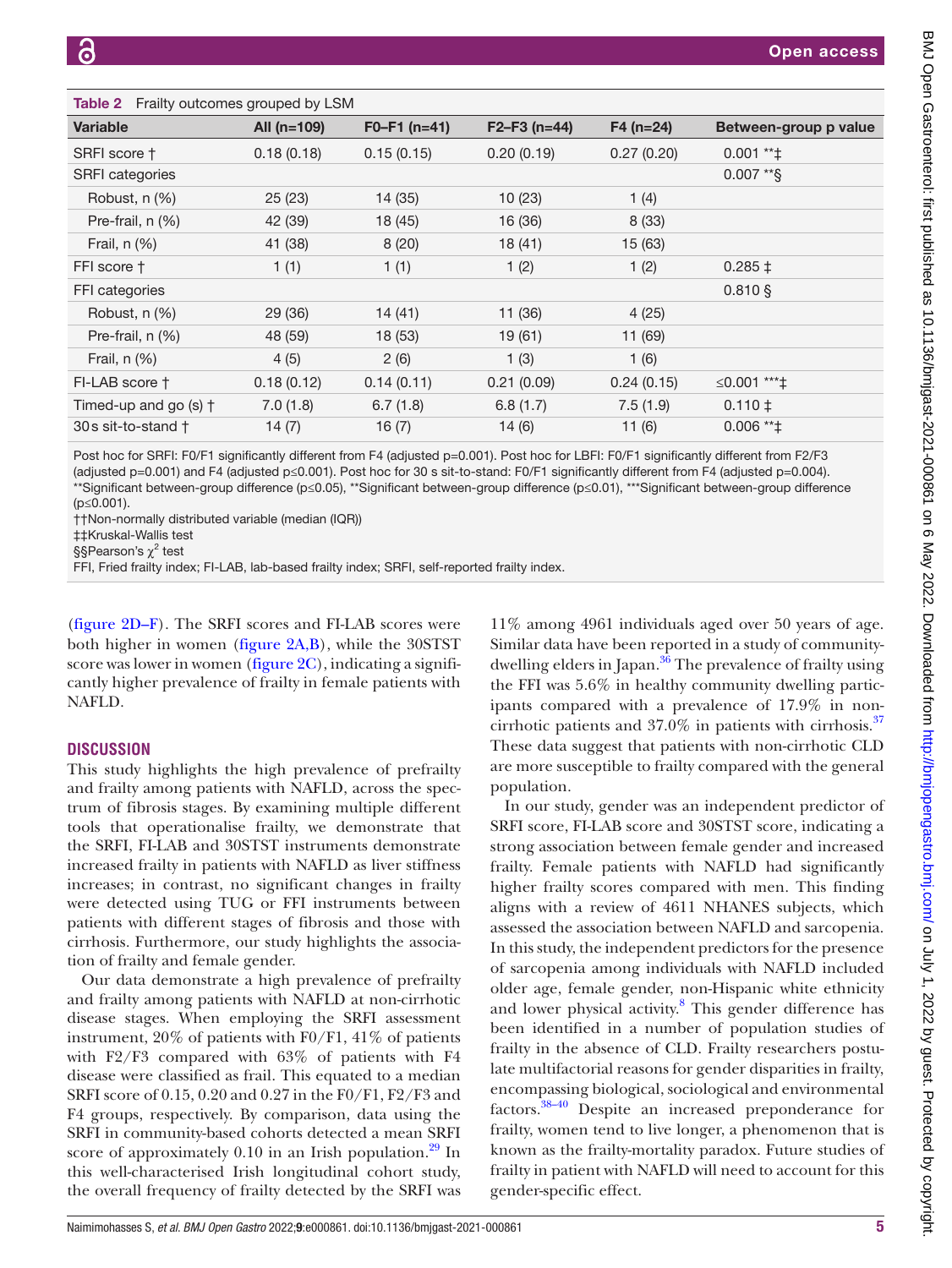<span id="page-4-0"></span>

| Table 2 Frailty outcomes grouped by LSM |               |                |               |             |                       |  |  |  |
|-----------------------------------------|---------------|----------------|---------------|-------------|-----------------------|--|--|--|
| <b>Variable</b>                         | All $(n=109)$ | $F0-F1$ (n=41) | $F2-F3(n=44)$ | $F4$ (n=24) | Between-group p value |  |  |  |
| SRFI score †                            | 0.18(0.18)    | 0.15(0.15)     | 0.20(0.19)    | 0.27(0.20)  | $0.001$ ** $\ddagger$ |  |  |  |
| <b>SRFI</b> categories                  |               |                |               |             | $0.007$ **\$          |  |  |  |
| Robust, n (%)                           | 25(23)        | 14 (35)        | 10(23)        | 1(4)        |                       |  |  |  |
| Pre-frail, $n$ $(\%)$                   | 42 (39)       | 18 (45)        | 16 (36)       | 8(33)       |                       |  |  |  |
| Frail, $n$ $(\%)$                       | 41 (38)       | 8(20)          | 18(41)        | 15 (63)     |                       |  |  |  |
| FFI score †                             | 1(1)          | 1(1)           | 1(2)          | 1(2)        | $0.285 \pm$           |  |  |  |
| FFI categories                          |               |                |               |             | $0.810$ \$            |  |  |  |
| Robust, n (%)                           | 29 (36)       | 14(41)         | 11 (36)       | 4(25)       |                       |  |  |  |
| Pre-frail, $n$ $(\%)$                   | 48 (59)       | 18 (53)        | 19(61)        | 11 (69)     |                       |  |  |  |
| Frail, $n$ $(\%)$                       | 4(5)          | 2(6)           | 1(3)          | 1(6)        |                       |  |  |  |
| FI-LAB score †                          | 0.18(0.12)    | 0.14(0.11)     | 0.21(0.09)    | 0.24(0.15)  | ≤0.001 ****‡          |  |  |  |
| Timed-up and go $(s)$ $\dagger$         | 7.0(1.8)      | 6.7(1.8)       | 6.8(1.7)      | 7.5(1.9)    | $0.110 \pm$           |  |  |  |
| 30s sit-to-stand †                      | 14(7)         | 16(7)          | 14(6)         | 11(6)       | $0.006$ ** $\ddagger$ |  |  |  |

Post hoc for SRFI: F0/F1 significantly different from F4 (adjusted p=0.001). Post hoc for LBFI: F0/F1 significantly different from F2/F3 (adjusted p=0.001) and F4 (adjusted p≤0.001). Post hoc for 30 s sit-to-stand: F0/F1 significantly different from F4 (adjusted p=0.004). \*\*Significant between-group difference (p≤0.05), \*\*Significant between-group difference (p≤0.01), \*\*\*Significant between-group difference (p≤0.001).

††Non-normally distributed variable (median (IQR))

‡‡Kruskal-Wallis test

§§Pearson's χ<sup>2</sup> test

FFI, Fried frailty index; FI-LAB, lab-based frailty index; SRFI, self-reported frailty index.

[\(figure](#page-5-1) 2D–F). The SRFI scores and FI-LAB scores were both higher in women ([figure](#page-5-1) 2A,B), while the 30STST score was lower in women ([figure](#page-5-1) 2C), indicating a significantly higher prevalence of frailty in female patients with NAFLD.

# **DISCUSSION**

This study highlights the high prevalence of prefrailty and frailty among patients with NAFLD, across the spectrum of fibrosis stages. By examining multiple different tools that operationalise frailty, we demonstrate that the SRFI, FI-LAB and 30STST instruments demonstrate increased frailty in patients with NAFLD as liver stiffness increases; in contrast, no significant changes in frailty were detected using TUG or FFI instruments between patients with different stages of fibrosis and those with cirrhosis. Furthermore, our study highlights the association of frailty and female gender.

Our data demonstrate a high prevalence of prefrailty and frailty among patients with NAFLD at non-cirrhotic disease stages. When employing the SRFI assessment instrument, 20% of patients with F0/F1, 41% of patients with F2/F3 compared with 63% of patients with F4 disease were classified as frail. This equated to a median SRFI score of 0.15, 0.20 and 0.27 in the F0/F1, F2/F3 and F4 groups, respectively. By comparison, data using the SRFI in community-based cohorts detected a mean SRFI score of approximately  $0.10$  in an Irish population.<sup>[29](#page-7-13)</sup> In this well-characterised Irish longitudinal cohort study, the overall frequency of frailty detected by the SRFI was

11% among 4961 individuals aged over 50 years of age. Similar data have been reported in a study of communitydwelling elders in Japan.<sup>36</sup> The prevalence of frailty using the FFI was 5.6% in healthy community dwelling participants compared with a prevalence of 17.9% in noncirrhotic patients and  $37.0\%$  in patients with cirrhosis. $37$ These data suggest that patients with non-cirrhotic CLD are more susceptible to frailty compared with the general population.

In our study, gender was an independent predictor of SRFI score, FI-LAB score and 30STST score, indicating a strong association between female gender and increased frailty. Female patients with NAFLD had significantly higher frailty scores compared with men. This finding aligns with a review of 4611 NHANES subjects, which assessed the association between NAFLD and sarcopenia. In this study, the independent predictors for the presence of sarcopenia among individuals with NAFLD included older age, female gender, non-Hispanic white ethnicity and lower physical activity.<sup>[8](#page-7-1)</sup> This gender difference has been identified in a number of population studies of frailty in the absence of CLD. Frailty researchers postulate multifactorial reasons for gender disparities in frailty, encompassing biological, sociological and environmental factors.[38–40](#page-7-22) Despite an increased preponderance for frailty, women tend to live longer, a phenomenon that is known as the frailty-mortality paradox. Future studies of frailty in patient with NAFLD will need to account for this gender-specific effect.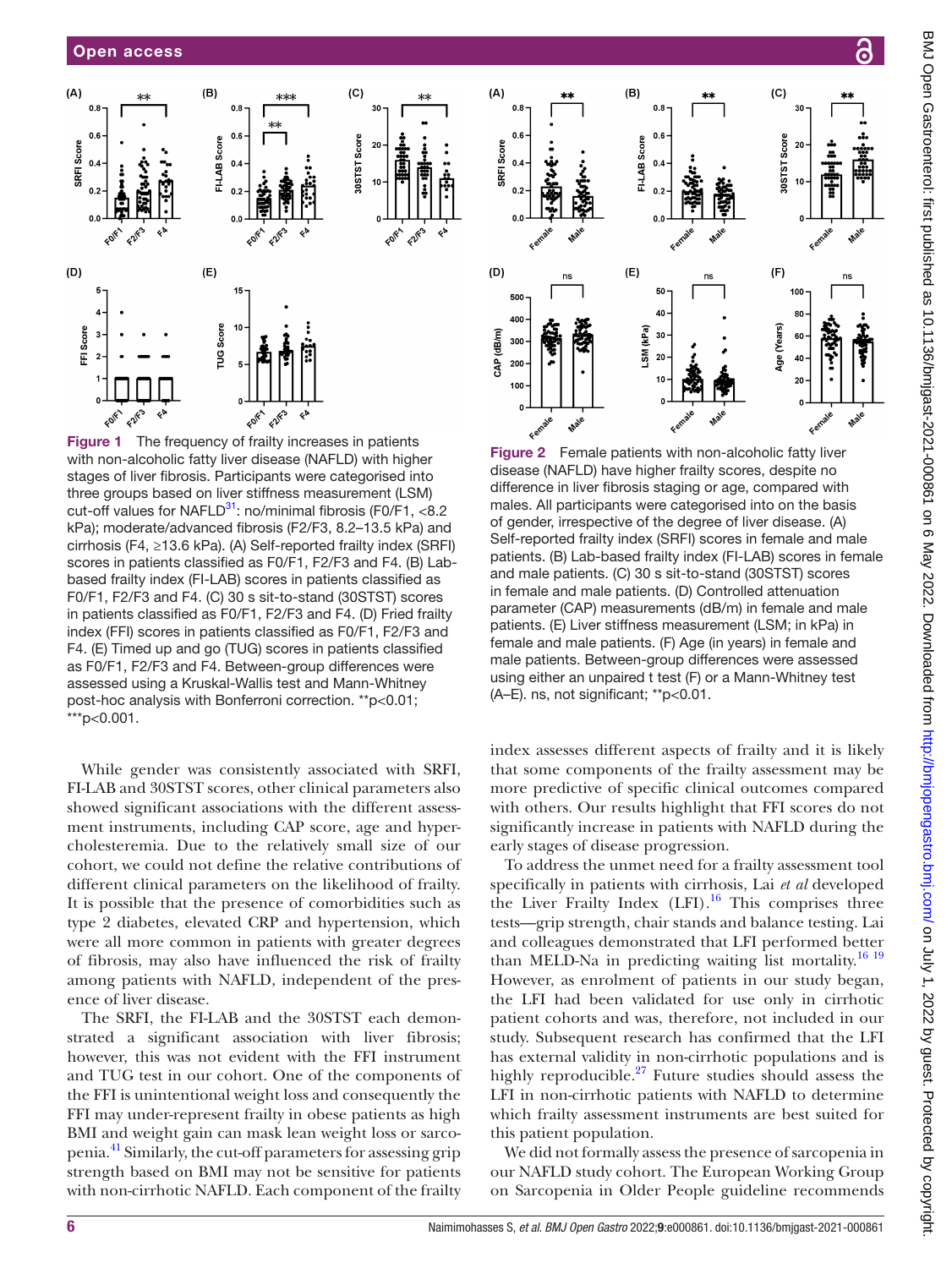

<span id="page-5-0"></span>Figure 1 The frequency of frailty increases in patients with non-alcoholic fatty liver disease (NAFLD) with higher stages of liver fibrosis. Participants were categorised into three groups based on liver stiffness measurement (LSM) cut-off values for NAFLD $^{31}$ : no/minimal fibrosis (F0/F1, <8.2) kPa); moderate/advanced fibrosis (F2/F3, 8.2–13.5 kPa) and cirrhosis (F4, ≥13.6 kPa). (A) Self-reported frailty index (SRFI) scores in patients classified as F0/F1, F2/F3 and F4. (B) Labbased frailty index (FI-LAB) scores in patients classified as F0/F1, F2/F3 and F4. (C) 30 s sit-to-stand (30STST) scores in patients classified as F0/F1, F2/F3 and F4. (D) Fried frailty index (FFI) scores in patients classified as F0/F1, F2/F3 and F4. (E) Timed up and go (TUG) scores in patients classified as F0/F1, F2/F3 and F4. Between-group differences were assessed using a Kruskal-Wallis test and Mann-Whitney post-hoc analysis with Bonferroni correction. \*\*p<0.01; \*\*\*p<0.001.

While gender was consistently associated with SRFI, FI-LAB and 30STST scores, other clinical parameters also showed significant associations with the different assessment instruments, including CAP score, age and hypercholesteremia. Due to the relatively small size of our cohort, we could not define the relative contributions of different clinical parameters on the likelihood of frailty. It is possible that the presence of comorbidities such as type 2 diabetes, elevated CRP and hypertension, which were all more common in patients with greater degrees of fibrosis, may also have influenced the risk of frailty among patients with NAFLD, independent of the presence of liver disease.

The SRFI, the FI-LAB and the 30STST each demonstrated a significant association with liver fibrosis; however, this was not evident with the FFI instrument and TUG test in our cohort. One of the components of the FFI is unintentional weight loss and consequently the FFI may under-represent frailty in obese patients as high BMI and weight gain can mask lean weight loss or sarcopenia.[41](#page-7-23) Similarly, the cut-off parameters for assessing grip strength based on BMI may not be sensitive for patients with non-cirrhotic NAFLD. Each component of the frailty



<span id="page-5-1"></span>Figure 2 Female patients with non-alcoholic fatty liver disease (NAFLD) have higher frailty scores, despite no difference in liver fibrosis staging or age, compared with males. All participants were categorised into on the basis of gender, irrespective of the degree of liver disease. (A) Self-reported frailty index (SRFI) scores in female and male patients. (B) Lab-based frailty index (FI-LAB) scores in female and male patients. (C) 30 s sit-to-stand (30STST) scores in female and male patients. (D) Controlled attenuation parameter (CAP) measurements (dB/m) in female and male patients. (E) Liver stiffness measurement (LSM; in kPa) in female and male patients. (F) Age (in years) in female and male patients. Between-group differences were assessed using either an unpaired t test (F) or a Mann-Whitney test (A–E). ns, not significant; \*\*p<0.01.

index assesses different aspects of frailty and it is likely that some components of the frailty assessment may be more predictive of specific clinical outcomes compared with others. Our results highlight that FFI scores do not significantly increase in patients with NAFLD during the early stages of disease progression.

To address the unmet need for a frailty assessment tool specifically in patients with cirrhosis, Lai *et al* developed the Liver Frailty Index  $(LFI).$ <sup>[16](#page-7-24)</sup> This comprises three tests—grip strength, chair stands and balance testing. Lai and colleagues demonstrated that LFI performed better than MELD-Na in predicting waiting list mortality.<sup>16 19</sup> However, as enrolment of patients in our study began, the LFI had been validated for use only in cirrhotic patient cohorts and was, therefore, not included in our study. Subsequent research has confirmed that the LFI has external validity in non-cirrhotic populations and is highly reproducible. $27$  Future studies should assess the LFI in non-cirrhotic patients with NAFLD to determine which frailty assessment instruments are best suited for this patient population.

We did not formally assess the presence of sarcopenia in our NAFLD study cohort. The European Working Group on Sarcopenia in Older People guideline recommends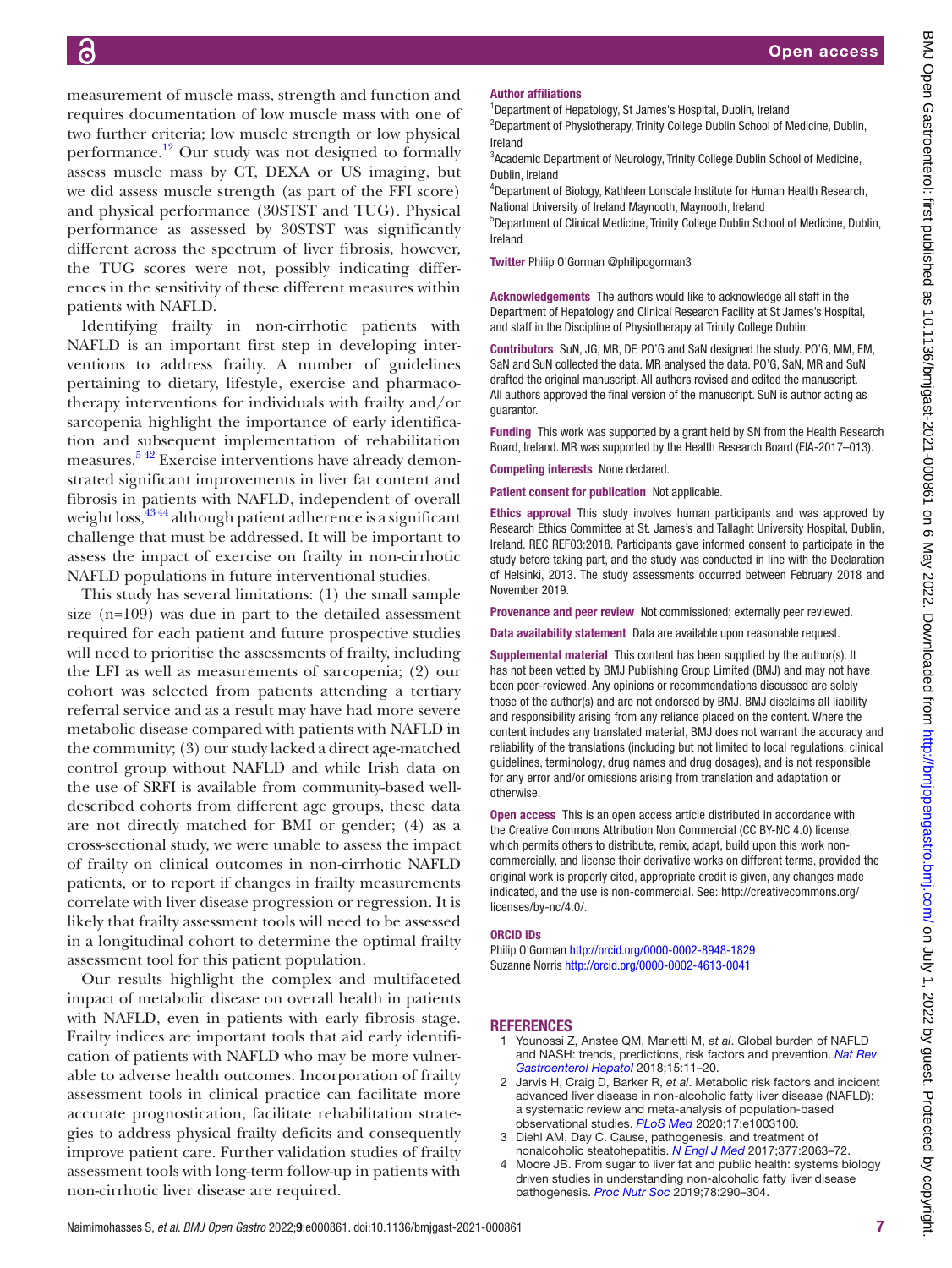measurement of muscle mass, strength and function and requires documentation of low muscle mass with one of two further criteria; low muscle strength or low physical performance.<sup>12</sup> Our study was not designed to formally assess muscle mass by CT, DEXA or US imaging, but we did assess muscle strength (as part of the FFI score) and physical performance (30STST and TUG). Physical performance as assessed by 30STST was significantly different across the spectrum of liver fibrosis, however, the TUG scores were not, possibly indicating differences in the sensitivity of these different measures within patients with NAFLD.

Identifying frailty in non-cirrhotic patients with NAFLD is an important first step in developing interventions to address frailty. A number of guidelines pertaining to dietary, lifestyle, exercise and pharmacotherapy interventions for individuals with frailty and/or sarcopenia highlight the importance of early identification and subsequent implementation of rehabilitation measures.<sup>542</sup> Exercise interventions have already demonstrated significant improvements in liver fat content and fibrosis in patients with NAFLD, independent of overall weight  $loss<sub>1</sub><sup>4344</sup>$  although patient adherence is a significant challenge that must be addressed. It will be important to assess the impact of exercise on frailty in non-cirrhotic NAFLD populations in future interventional studies.

This study has several limitations: (1) the small sample size (n=109) was due in part to the detailed assessment required for each patient and future prospective studies will need to prioritise the assessments of frailty, including the LFI as well as measurements of sarcopenia; (2) our cohort was selected from patients attending a tertiary referral service and as a result may have had more severe metabolic disease compared with patients with NAFLD in the community; (3) our study lacked a direct age-matched control group without NAFLD and while Irish data on the use of SRFI is available from community-based welldescribed cohorts from different age groups, these data are not directly matched for BMI or gender; (4) as a cross-sectional study, we were unable to assess the impact of frailty on clinical outcomes in non-cirrhotic NAFLD patients, or to report if changes in frailty measurements correlate with liver disease progression or regression. It is likely that frailty assessment tools will need to be assessed in a longitudinal cohort to determine the optimal frailty assessment tool for this patient population.

Our results highlight the complex and multifaceted impact of metabolic disease on overall health in patients with NAFLD, even in patients with early fibrosis stage. Frailty indices are important tools that aid early identification of patients with NAFLD who may be more vulnerable to adverse health outcomes. Incorporation of frailty assessment tools in clinical practice can facilitate more accurate prognostication, facilitate rehabilitation strategies to address physical frailty deficits and consequently improve patient care. Further validation studies of frailty assessment tools with long-term follow-up in patients with non-cirrhotic liver disease are required.

#### Author affiliations

<sup>1</sup>Department of Hepatology, St James's Hospital, Dublin, Ireland <sup>2</sup>Department of Physiotherapy, Trinity College Dublin School of Medicine, Dublin, Ireland

<sup>3</sup>Academic Department of Neurology, Trinity College Dublin School of Medicine, Dublin, Ireland

4 Department of Biology, Kathleen Lonsdale Institute for Human Health Research, National University of Ireland Maynooth, Maynooth, Ireland

5 Department of Clinical Medicine, Trinity College Dublin School of Medicine, Dublin, Ireland

Twitter Philip O'Gorman [@philipogorman3](https://twitter.com/philipogorman3)

Acknowledgements The authors would like to acknowledge all staff in the Department of Hepatology and Clinical Research Facility at St James's Hospital, and staff in the Discipline of Physiotherapy at Trinity College Dublin.

Contributors SuN, JG, MR, DF, PO'G and SaN designed the study. PO'G, MM, EM, SaN and SuN collected the data. MR analysed the data. PO'G, SaN, MR and SuN drafted the original manuscript. All authors revised and edited the manuscript. All authors approved the final version of the manuscript. SuN is author acting as guarantor.

Funding This work was supported by a grant held by SN from the Health Research Board, Ireland. MR was supported by the Health Research Board (EIA-2017–013).

Competing interests None declared.

Patient consent for publication Not applicable.

Ethics approval This study involves human participants and was approved by Research Ethics Committee at St. James's and Tallaght University Hospital, Dublin, Ireland. REC REF03:2018. Participants gave informed consent to participate in the study before taking part, and the study was conducted in line with the Declaration of Helsinki, 2013. The study assessments occurred between February 2018 and November 2019.

Provenance and peer review Not commissioned; externally peer reviewed.

Data availability statement Data are available upon reasonable request.

Supplemental material This content has been supplied by the author(s). It has not been vetted by BMJ Publishing Group Limited (BMJ) and may not have been peer-reviewed. Any opinions or recommendations discussed are solely those of the author(s) and are not endorsed by BMJ. BMJ disclaims all liability and responsibility arising from any reliance placed on the content. Where the content includes any translated material, BMJ does not warrant the accuracy and reliability of the translations (including but not limited to local regulations, clinical guidelines, terminology, drug names and drug dosages), and is not responsible for any error and/or omissions arising from translation and adaptation or otherwise.

Open access This is an open access article distributed in accordance with the Creative Commons Attribution Non Commercial (CC BY-NC 4.0) license, which permits others to distribute, remix, adapt, build upon this work noncommercially, and license their derivative works on different terms, provided the original work is properly cited, appropriate credit is given, any changes made indicated, and the use is non-commercial. See: [http://creativecommons.org/](http://creativecommons.org/licenses/by-nc/4.0/) [licenses/by-nc/4.0/.](http://creativecommons.org/licenses/by-nc/4.0/)

#### ORCID iDs

Philip O'Gorman<http://orcid.org/0000-0002-8948-1829> Suzanne Norris <http://orcid.org/0000-0002-4613-0041>

# **REFERENCES**

- <span id="page-6-0"></span>1 Younossi Z, Anstee QM, Marietti M, *et al*. Global burden of NAFLD and NASH: trends, predictions, risk factors and prevention. *[Nat Rev](http://dx.doi.org/10.1038/nrgastro.2017.109)  [Gastroenterol Hepatol](http://dx.doi.org/10.1038/nrgastro.2017.109)* 2018;15:11–20.
- 2 Jarvis H, Craig D, Barker R, *et al*. Metabolic risk factors and incident advanced liver disease in non-alcoholic fatty liver disease (NAFLD): a systematic review and meta-analysis of population-based observational studies. *[PLoS Med](http://dx.doi.org/10.1371/journal.pmed.1003100)* 2020;17:e1003100.
- Diehl AM, Day C. Cause, pathogenesis, and treatment of nonalcoholic steatohepatitis. *[N Engl J Med](http://dx.doi.org/10.1056/NEJMra1503519)* 2017;377:2063–72.
- Moore JB. From sugar to liver fat and public health: systems biology driven studies in understanding non-alcoholic fatty liver disease pathogenesis. *[Proc Nutr Soc](http://dx.doi.org/10.1017/S0029665119000570)* 2019;78:290–304.